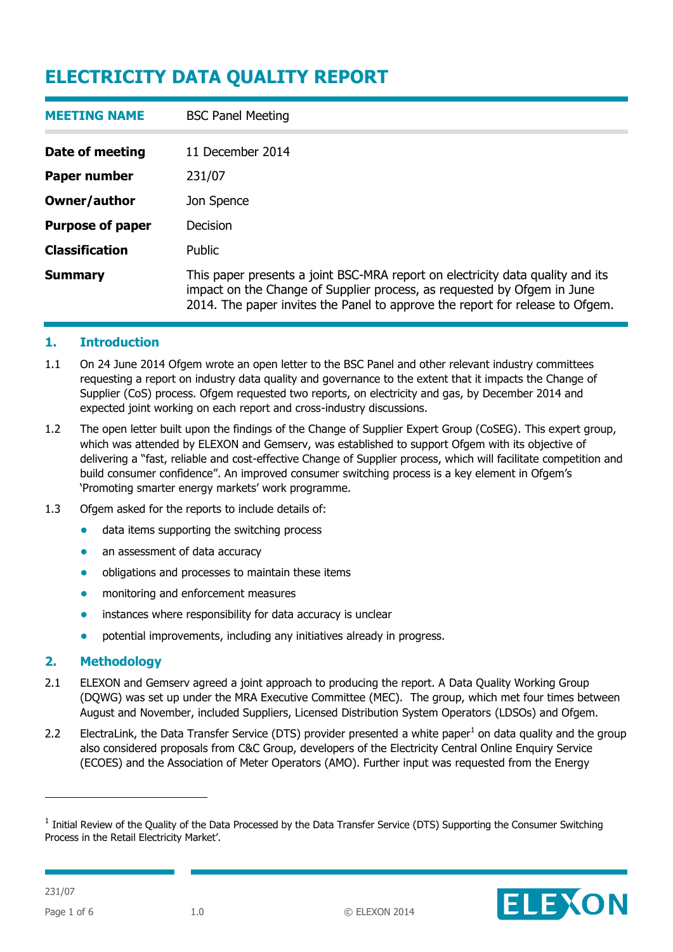| <b>MEETING NAME</b>     | <b>BSC Panel Meeting</b>                                                                                                                                                                                                                   |
|-------------------------|--------------------------------------------------------------------------------------------------------------------------------------------------------------------------------------------------------------------------------------------|
| Date of meeting         | 11 December 2014                                                                                                                                                                                                                           |
| Paper number            | 231/07                                                                                                                                                                                                                                     |
| Owner/author            | Jon Spence                                                                                                                                                                                                                                 |
| <b>Purpose of paper</b> | Decision                                                                                                                                                                                                                                   |
| <b>Classification</b>   | Public                                                                                                                                                                                                                                     |
| <b>Summary</b>          | This paper presents a joint BSC-MRA report on electricity data quality and its<br>impact on the Change of Supplier process, as requested by Ofgem in June<br>2014. The paper invites the Panel to approve the report for release to Ofgem. |

#### **1. Introduction**

- 1.1 On 24 June 2014 Ofgem wrote an open letter to the BSC Panel and other relevant industry committees requesting a report on industry data quality and governance to the extent that it impacts the Change of Supplier (CoS) process. Ofgem requested two reports, on electricity and gas, by December 2014 and expected joint working on each report and cross-industry discussions.
- 1.2 The open letter built upon the findings of the Change of Supplier Expert Group (CoSEG). This expert group, which was attended by ELEXON and Gemserv, was established to support Ofgem with its objective of delivering a "fast, reliable and cost-effective Change of Supplier process, which will facilitate competition and build consumer confidence". An improved consumer switching process is a key element in Ofgem's 'Promoting smarter energy markets' work programme.
- 1.3 Ofgem asked for the reports to include details of:
	- data items supporting the switching process
	- an assessment of data accuracy
	- obligations and processes to maintain these items
	- monitoring and enforcement measures
	- instances where responsibility for data accuracy is unclear
	- potential improvements, including any initiatives already in progress.

## **2. Methodology**

- 2.1 ELEXON and Gemserv agreed a joint approach to producing the report. A Data Quality Working Group (DQWG) was set up under the MRA Executive Committee (MEC). The group, which met four times between August and November, included Suppliers, Licensed Distribution System Operators (LDSOs) and Ofgem.
- 2.2 ElectraLink, the Data Transfer Service (DTS) provider presented a white paper<sup>1</sup> on data quality and the group also considered proposals from C&C Group, developers of the Electricity Central Online Enquiry Service (ECOES) and the Association of Meter Operators (AMO). Further input was requested from the Energy

 $1$  Initial Review of the Quality of the Data Processed by the Data Transfer Service (DTS) Supporting the Consumer Switching Process in the Retail Electricity Market'.



-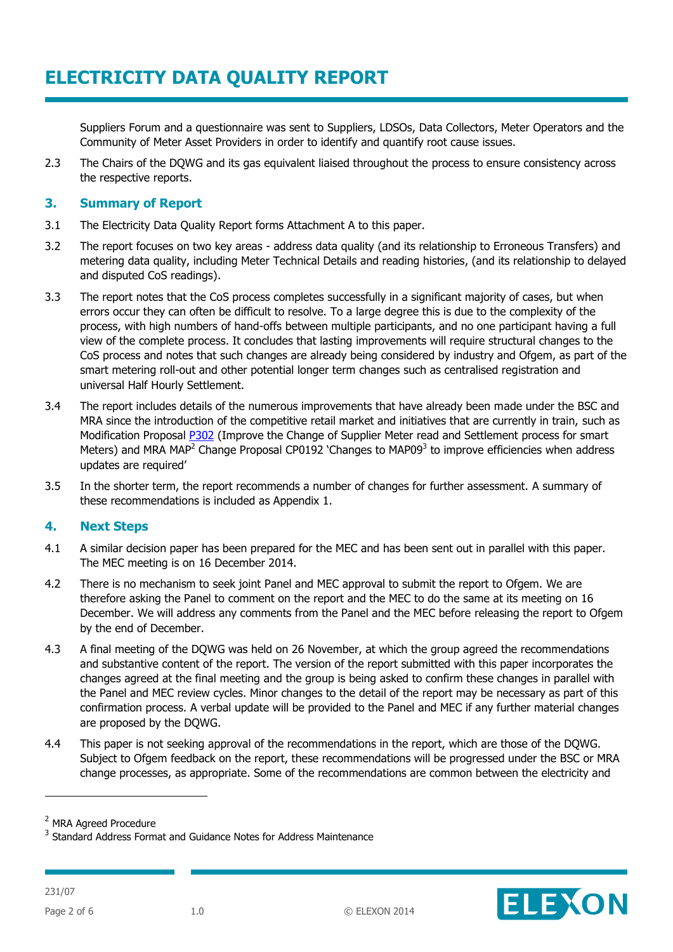Suppliers Forum and a questionnaire was sent to Suppliers, LDSOs, Data Collectors, Meter Operators and the Community of Meter Asset Providers in order to identify and quantify root cause issues.

2.3 The Chairs of the DQWG and its gas equivalent liaised throughout the process to ensure consistency across the respective reports.

#### **3. Summary of Report**

- 3.1 The Electricity Data Quality Report forms Attachment A to this paper.
- 3.2 The report focuses on two key areas address data quality (and its relationship to Erroneous Transfers) and metering data quality, including Meter Technical Details and reading histories, (and its relationship to delayed and disputed CoS readings).
- 3.3 The report notes that the CoS process completes successfully in a significant majority of cases, but when errors occur they can often be difficult to resolve. To a large degree this is due to the complexity of the process, with high numbers of hand-offs between multiple participants, and no one participant having a full view of the complete process. It concludes that lasting improvements will require structural changes to the CoS process and notes that such changes are already being considered by industry and Ofgem, as part of the smart metering roll-out and other potential longer term changes such as centralised registration and universal Half Hourly Settlement.
- 3.4 The report includes details of the numerous improvements that have already been made under the BSC and MRA since the introduction of the competitive retail market and initiatives that are currently in train, such as Modification Proposal **P302** (Improve the Change of Supplier Meter read and Settlement process for smart Meters) and MRA MAP<sup>2</sup> Change Proposal CP0192 'Changes to MAP09<sup>3</sup> to improve efficiencies when address updates are required'
- 3.5 In the shorter term, the report recommends a number of changes for further assessment. A summary of these recommendations is included as Appendix 1.

## **4. Next Steps**

- 4.1 A similar decision paper has been prepared for the MEC and has been sent out in parallel with this paper. The MEC meeting is on 16 December 2014.
- 4.2 There is no mechanism to seek joint Panel and MEC approval to submit the report to Ofgem. We are therefore asking the Panel to comment on the report and the MEC to do the same at its meeting on 16 December. We will address any comments from the Panel and the MEC before releasing the report to Ofgem by the end of December.
- 4.3 A final meeting of the DQWG was held on 26 November, at which the group agreed the recommendations and substantive content of the report. The version of the report submitted with this paper incorporates the changes agreed at the final meeting and the group is being asked to confirm these changes in parallel with the Panel and MEC review cycles. Minor changes to the detail of the report may be necessary as part of this confirmation process. A verbal update will be provided to the Panel and MEC if any further material changes are proposed by the DQWG.
- 4.4 This paper is not seeking approval of the recommendations in the report, which are those of the DQWG. Subject to Ofgem feedback on the report, these recommendations will be progressed under the BSC or MRA change processes, as appropriate. Some of the recommendations are common between the electricity and



-

<sup>2</sup> MRA Agreed Procedure

<sup>&</sup>lt;sup>3</sup> Standard Address Format and Guidance Notes for Address Maintenance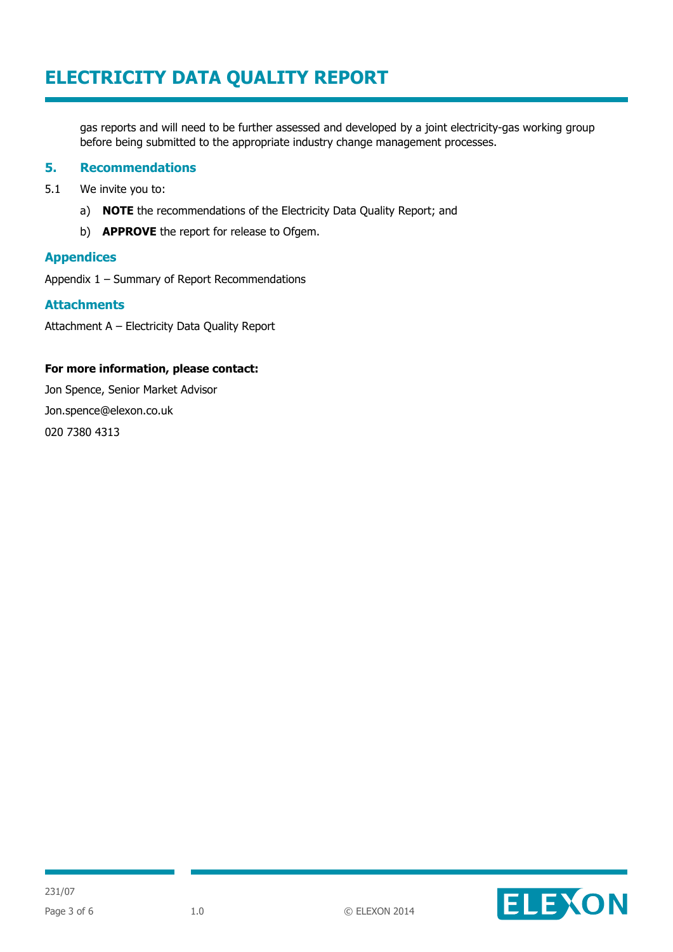gas reports and will need to be further assessed and developed by a joint electricity-gas working group before being submitted to the appropriate industry change management processes.

#### **5. Recommendations**

- 5.1 We invite you to:
	- a) **NOTE** the recommendations of the Electricity Data Quality Report; and
	- b) **APPROVE** the report for release to Ofgem.

#### **Appendices**

Appendix 1 – Summary of Report Recommendations

#### **Attachments**

Attachment A – Electricity Data Quality Report

#### **For more information, please contact:**

Jon Spence, Senior Market Advisor Jon.spence@elexon.co.uk 020 7380 4313

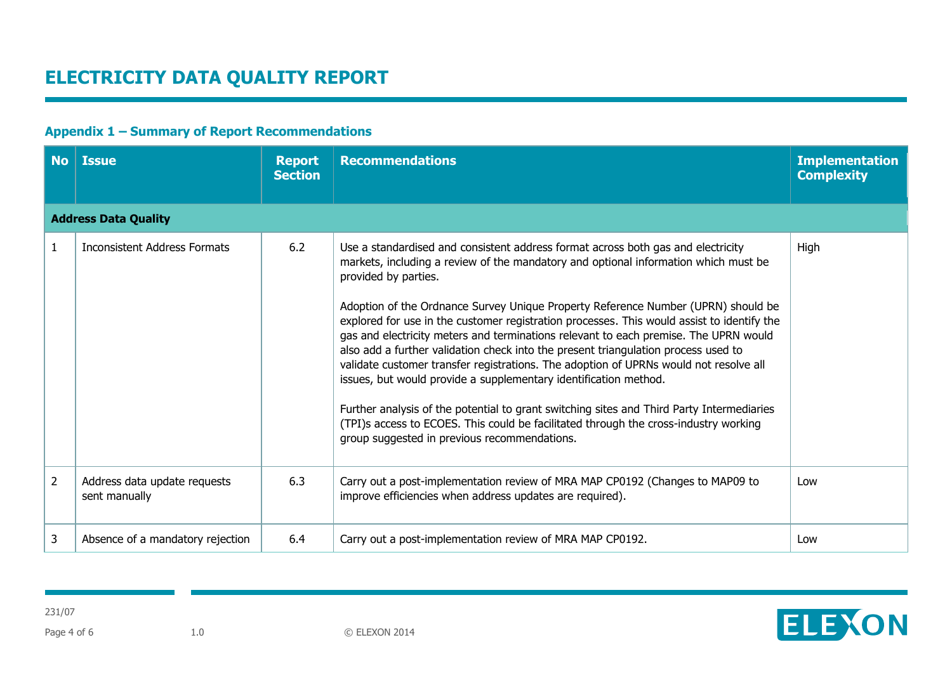## **Appendix 1 – Summary of Report Recommendations**

| <b>No</b>      | <b>Issue</b>                                  | <b>Report</b><br><b>Section</b> | <b>Recommendations</b>                                                                                                                                                                                                                                                                                                                                                                                                                                                                                                                                                                                                                                                                                                                                                                                                                                                                                                                                             | <b>Implementation</b><br><b>Complexity</b> |  |  |  |  |
|----------------|-----------------------------------------------|---------------------------------|--------------------------------------------------------------------------------------------------------------------------------------------------------------------------------------------------------------------------------------------------------------------------------------------------------------------------------------------------------------------------------------------------------------------------------------------------------------------------------------------------------------------------------------------------------------------------------------------------------------------------------------------------------------------------------------------------------------------------------------------------------------------------------------------------------------------------------------------------------------------------------------------------------------------------------------------------------------------|--------------------------------------------|--|--|--|--|
|                | <b>Address Data Quality</b>                   |                                 |                                                                                                                                                                                                                                                                                                                                                                                                                                                                                                                                                                                                                                                                                                                                                                                                                                                                                                                                                                    |                                            |  |  |  |  |
|                | <b>Inconsistent Address Formats</b>           | 6.2                             | Use a standardised and consistent address format across both gas and electricity<br>markets, including a review of the mandatory and optional information which must be<br>provided by parties.<br>Adoption of the Ordnance Survey Unique Property Reference Number (UPRN) should be<br>explored for use in the customer registration processes. This would assist to identify the<br>gas and electricity meters and terminations relevant to each premise. The UPRN would<br>also add a further validation check into the present triangulation process used to<br>validate customer transfer registrations. The adoption of UPRNs would not resolve all<br>issues, but would provide a supplementary identification method.<br>Further analysis of the potential to grant switching sites and Third Party Intermediaries<br>(TPI)s access to ECOES. This could be facilitated through the cross-industry working<br>group suggested in previous recommendations. | High                                       |  |  |  |  |
| $\overline{2}$ | Address data update requests<br>sent manually | 6.3                             | Carry out a post-implementation review of MRA MAP CP0192 (Changes to MAP09 to<br>improve efficiencies when address updates are required).                                                                                                                                                                                                                                                                                                                                                                                                                                                                                                                                                                                                                                                                                                                                                                                                                          | Low                                        |  |  |  |  |
| 3              | Absence of a mandatory rejection              | 6.4                             | Carry out a post-implementation review of MRA MAP CP0192.                                                                                                                                                                                                                                                                                                                                                                                                                                                                                                                                                                                                                                                                                                                                                                                                                                                                                                          | Low                                        |  |  |  |  |

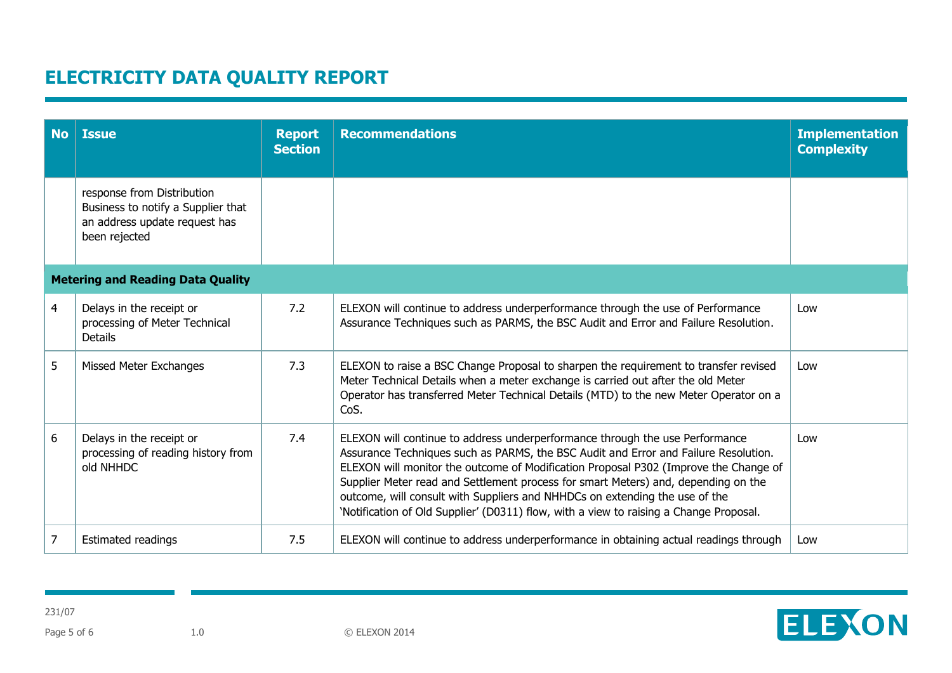| <b>No</b> | <b>Issue</b>                                                                                                       | <b>Report</b><br><b>Section</b> | <b>Recommendations</b>                                                                                                                                                                                                                                                                                                                                                                                                                                                                                                     | <b>Implementation</b><br><b>Complexity</b> |  |  |  |
|-----------|--------------------------------------------------------------------------------------------------------------------|---------------------------------|----------------------------------------------------------------------------------------------------------------------------------------------------------------------------------------------------------------------------------------------------------------------------------------------------------------------------------------------------------------------------------------------------------------------------------------------------------------------------------------------------------------------------|--------------------------------------------|--|--|--|
|           | response from Distribution<br>Business to notify a Supplier that<br>an address update request has<br>been rejected |                                 |                                                                                                                                                                                                                                                                                                                                                                                                                                                                                                                            |                                            |  |  |  |
|           | <b>Metering and Reading Data Quality</b>                                                                           |                                 |                                                                                                                                                                                                                                                                                                                                                                                                                                                                                                                            |                                            |  |  |  |
| 4         | Delays in the receipt or<br>processing of Meter Technical<br><b>Details</b>                                        | 7.2                             | ELEXON will continue to address underperformance through the use of Performance<br>Assurance Techniques such as PARMS, the BSC Audit and Error and Failure Resolution.                                                                                                                                                                                                                                                                                                                                                     | Low                                        |  |  |  |
| 5         | Missed Meter Exchanges                                                                                             | 7.3                             | ELEXON to raise a BSC Change Proposal to sharpen the requirement to transfer revised<br>Meter Technical Details when a meter exchange is carried out after the old Meter<br>Operator has transferred Meter Technical Details (MTD) to the new Meter Operator on a<br>CoS.                                                                                                                                                                                                                                                  | Low                                        |  |  |  |
| 6         | Delays in the receipt or<br>processing of reading history from<br>old NHHDC                                        | 7.4                             | ELEXON will continue to address underperformance through the use Performance<br>Assurance Techniques such as PARMS, the BSC Audit and Error and Failure Resolution.<br>ELEXON will monitor the outcome of Modification Proposal P302 (Improve the Change of<br>Supplier Meter read and Settlement process for smart Meters) and, depending on the<br>outcome, will consult with Suppliers and NHHDCs on extending the use of the<br>'Notification of Old Supplier' (D0311) flow, with a view to raising a Change Proposal. | Low                                        |  |  |  |
| 7         | <b>Estimated readings</b>                                                                                          | 7.5                             | ELEXON will continue to address underperformance in obtaining actual readings through                                                                                                                                                                                                                                                                                                                                                                                                                                      | Low                                        |  |  |  |